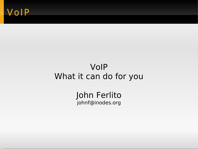#### VoIP

#### VoIP What it can do for you

John Ferlito johnf@inodes.org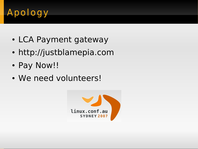# Apology

- LCA Payment gateway
- http://justblamepia.com
- Pay Now!!
- We need volunteers!

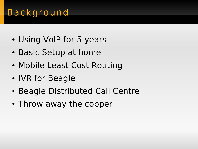### Background

- Using VoIP for 5 years
- Basic Setup at home
- Mobile Least Cost Routing
- IVR for Beagle
- Beagle Distributed Call Centre
- Throw away the copper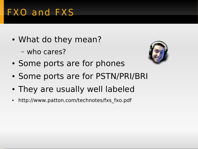## FXO and FXS

- What do they mean?
	- who cares?



- Some ports are for phones
- Some ports are for PSTN/PRI/BRI
- They are usually well labeled
- http://www.patton.com/technotes/fxs fxo.pdf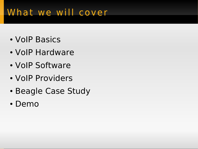### What we will cover

- VoIP Basics
- VoIP Hardware
- VoIP Software
- VoIP Providers
- Beagle Case Study
- Demo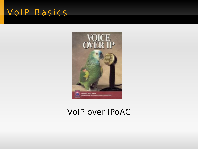#### VolP Basics



#### VoIP over IPoAC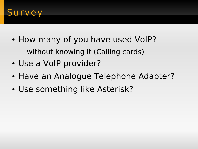

- How many of you have used VoIP?
	- without knowing it (Calling cards)
- Use a VoIP provider?
- Have an Analogue Telephone Adapter?
- Use something like Asterisk?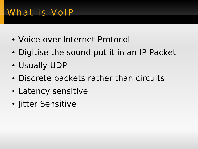## What is VoIP

- Voice over Internet Protocol
- Digitise the sound put it in an IP Packet
- Usually UDP
- Discrete packets rather than circuits
- Latency sensitive
- Jitter Sensitive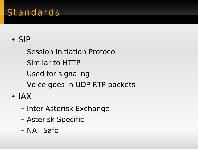### Standards

#### ● SIP

- Session Initiation Protocol
- Similar to HTTP
- Used for signaling
- Voice goes in UDP RTP packets
- IAX
	- Inter Asterisk Exchange
	- Asterisk Specific
	- NAT Safe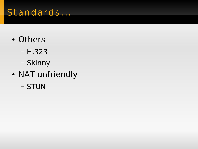### Standards ...

- Others
	- H.323
	- Skinny
- NAT unfriendly
	- STUN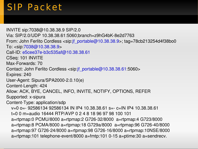### SIP Packet

INVITE sip:7038@10.38.38.9 SIP/2.0 Via: SIP/2.0/UDP 10.38.38.61:5060;branch=z9hG4bK-8e2d7763 From: John Ferlito Cordless <sip[:jf\\_portable@10.38.38.9>](mailto:jf_portable@10.38.38.9); tag=78cb213254d4f38bo0 To: <sip[:7038@10.38.38.9>](mailto:7038@10.38.38.9) Call-ID: e5cee37e-b3c535af@10.38.38.61 CSeq: 101 INVITE Max-Forwards: 70 Contact: John Ferlito Cordless <sip[:jf\\_portable@10.38.38.61:](mailto:jf_portable@10.38.38.61)5060> Expires: 240 User-Agent: Sipura/SPA2000-2.0.10(e) Content-Length: 424 Allow: ACK, BYE, CANCEL, INFO, INVITE, NOTIFY, OPTIONS, REFER Supported: x-sipura Content-Type: application/sdp v=0 o= 92586134 92586134 IN IP4 10.38.38.61 s= - c=IN IP4 10.38.38.61 t=0 0 m=audio 16444 RTP/AVP 0 2 4 8 18 96 97 98 100 101 a=rtpmap:0 PCMU/8000 a=rtpmap:2 G726-32/8000 a=rtpmap:4 G723/8000 a=rtpmap:8 PCMA/8000 a=rtpmap:18 G729a/8000 a=rtpmap:96 G726-40/8000 a=rtpmap:97 G726-24/8000 a=rtpmap:98 G726-16/8000 a=rtpmap:10NSE/8000 a=rtpmap:101 telephone-event/8000 a=fmtp:101 0-15 a=ptime:30 a=sendrecv.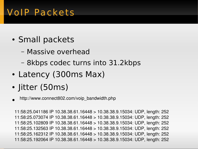### VoIP Packets

- Small packets
	- Massive overhead
	- 8kbps codec turns into 31.2kbps
- Latency (300ms Max)
- Jitter (50ms)
- $\bullet$ http://www.connect802.com/voip\_bandwidth.php

11:58:25.041186 IP 10.38.38.61.16448 > 10.38.38.9.15034: UDP, length: 252 11:58:25.073074 IP 10.38.38.61.16448 > 10.38.38.9.15034: UDP, length: 252 11:58:25.102809 IP 10.38.38.61.16448 > 10.38.38.9.15034: UDP, length: 252 11:58:25.132563 IP 10.38.38.61.16448 > 10.38.38.9.15034: UDP, length: 252 11:58:25.162312 IP 10.38.38.61.16448 > 10.38.38.9.15034: UDP, length: 252 11:58:25.192064 IP 10.38.38.61.16448 > 10.38.38.9.15034: UDP, length: 252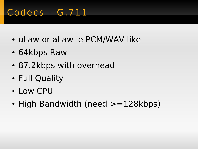## Codecs - G.711

- uLaw or aLaw ie PCM/WAV like
- 64kbps Raw
- 87.2kbps with overhead
- Full Quality
- Low CPU
- High Bandwidth (need  $>=128kbps$ )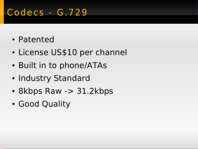## Codecs - G.729

- Patented
- License US\$10 per channel
- Built in to phone/ATAs
- Industry Standard
- 8kbps Raw -> 31.2kbps
- Good Quality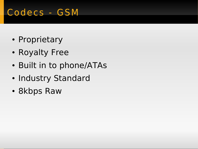## Codecs - GSM

- Proprietary
- Royalty Free
- Built in to phone/ATAs
- Industry Standard
- 8kbps Raw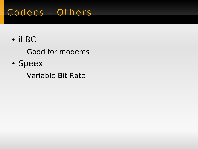## Codecs - Others

- iLBC
	- Good for modems
- Speex
	- Variable Bit Rate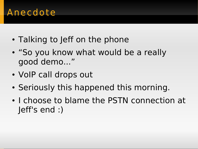#### Anecdote

- Talking to Jeff on the phone
- "So you know what would be a really good demo..."
- VoIP call drops out
- Seriously this happened this morning.
- I choose to blame the PSTN connection at Jeff's end :)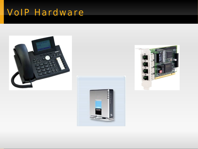### VoIP Hardware





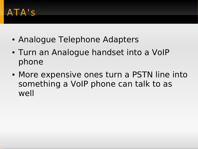#### ATA' s

- Analogue Telephone Adapters
- Turn an Analogue handset into a VoIP phone
- More expensive ones turn a PSTN line into something a VoIP phone can talk to as well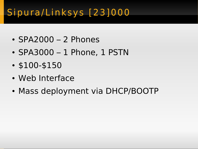# Sipura/Linksys<sup>[23]000</sup>

- $\cdot$  SPA2000 2 Phones
- SPA3000 1 Phone, 1 PSTN
- \$100-\$150
- Web Interface
- Mass deployment via DHCP/BOOTP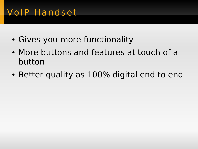## VoIP Handset

- Gives you more functionality
- More buttons and features at touch of a button
- Better quality as 100% digital end to end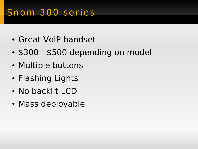## Snom 300 ser ies

- Great VoIP handset
- \$300 \$500 depending on model
- Multiple buttons
- Flashing Lights
- No backlit LCD
- Mass deployable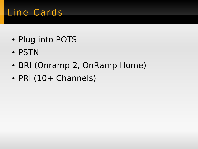## Line Cards

- Plug into POTS
- PSTN
- BRI (Onramp 2, OnRamp Home)
- PRI (10+ Channels)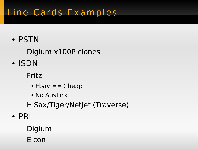# Line Cards Examples

- PSTN
	- Digium x100P clones
- ISDN
	- Fritz
		- $\cdot$  Ebay  $==$  Cheap
		- No AusTick
	- HiSax/Tiger/NetJet (Traverse)
- PRI
	- Digium
	- Eicon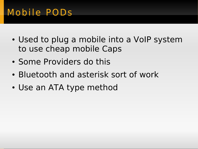## Mobi le PODs

- Used to plug a mobile into a VoIP system to use cheap mobile Caps
- Some Providers do this
- Bluetooth and asterisk sort of work
- Use an ATA type method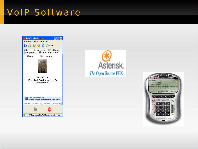#### VoIP Software





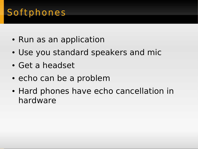## Softphones

- Run as an application
- Use you standard speakers and mic
- Get a headset
- echo can be a problem
- Hard phones have echo cancellation in hardware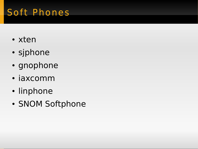## Soft Phones

- xten
- sjphone
- gnophone
- iaxcomm
- linphone
- SNOM Softphone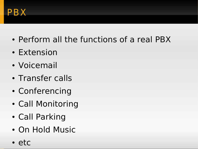

- Perform all the functions of a real PBX
- Extension
- Voicemail
- Transfer calls
- Conferencing
- Call Monitoring
- Call Parking
- On Hold Music
- etc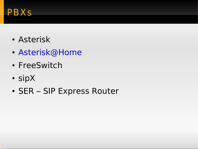#### PBXs

- Asterisk
- [Asterisk@Home](mailto:Asterisk@Home)
- FreeSwitch
- sipX
- SER SIP Express Router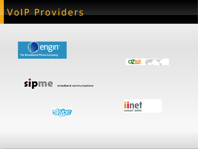### VoIP Providers









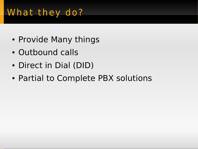## What they do?

- Provide Many things
- Outbound calls
- Direct in Dial (DID)
- Partial to Complete PBX solutions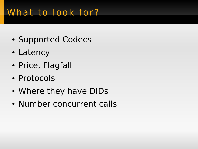## What to look for?

- Supported Codecs
- Latency
- Price, Flagfall
- Protocols
- Where they have DIDs
- Number concurrent calls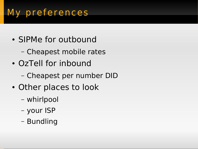## My preferences

- SIPMe for outbound
	- Cheapest mobile rates
- OzTell for inbound
	- Cheapest per number DID
- Other places to look
	- whirlpool
	- your ISP
	- Bundling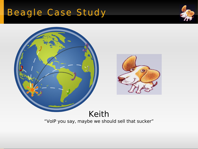# Beagle Case Study



#### Keith "VoIP you say, maybe we should sell that sucker"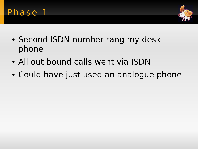



- Second ISDN number rang my desk phone
- All out bound calls went via ISDN
- Could have just used an analogue phone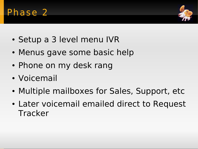

- Setup a 3 level menu IVR
- Menus gave some basic help
- Phone on my desk rang
- Voicemail
- Multiple mailboxes for Sales, Support, etc
- Later voicemail emailed direct to Request **Tracker**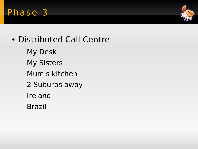

- Distributed Call Centre
	- My Desk
	- My Sisters
	- Mum's kitchen
	- 2 Suburbs away
	- Ireland
	- Brazil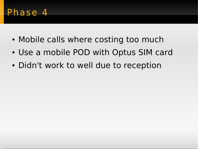- Mobile calls where costing too much
- Use a mobile POD with Optus SIM card
- Didn't work to well due to reception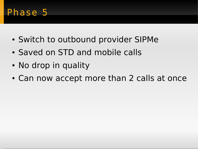- Switch to outbound provider SIPMe
- Saved on STD and mobile calls
- No drop in quality
- Can now accept more than 2 calls at once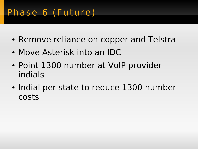## Phase 6 (Future)

- Remove reliance on copper and Telstra
- Move Asterisk into an IDC
- Point 1300 number at VoIP provider indials
- Indial per state to reduce 1300 number costs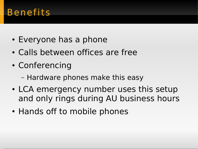#### **Benefits**

- Everyone has a phone
- Calls between offices are free
- Conferencing
	- Hardware phones make this easy
- LCA emergency number uses this setup and only rings during AU business hours
- Hands off to mobile phones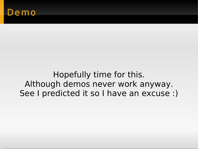#### emo

Hopefully time for this. Although demos never work anyway. See I predicted it so I have an excuse :)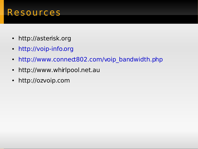#### Resour ces

- http://asterisk.org
- [http://voip-info.org](http://voip-info.org/)
- http://www.connect802.com/voip bandwidth.php
- http://www.whirlpool.net.au
- http://ozvoip.com